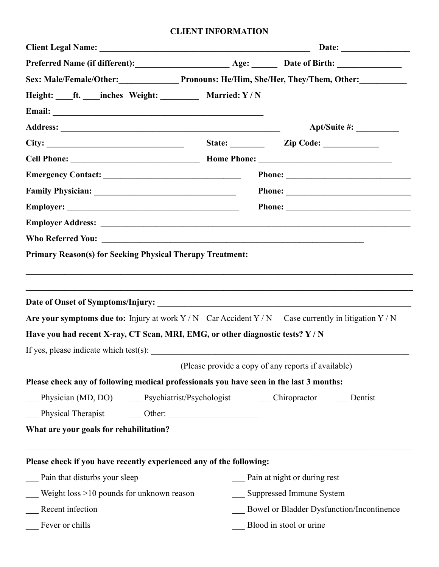### **CLIENT INFORMATION**

| Sex: Male/Female/Other: Pronouns: He/Him, She/Her, They/Them, Other:<br>Height: ____ft. ____inches Weight: __________ Married: Y/N<br><b>Primary Reason(s) for Seeking Physical Therapy Treatment:</b><br>Are your symptoms due to: Injury at work $Y/N$ Car Accident $Y/N$ Case currently in litigation $Y/N$<br>Have you had recent X-ray, CT Scan, MRI, EMG, or other diagnostic tests? Y / N<br>Please check any of following medical professionals you have seen in the last 3 months: | State: <u>Zip Code:</u>                             |
|---------------------------------------------------------------------------------------------------------------------------------------------------------------------------------------------------------------------------------------------------------------------------------------------------------------------------------------------------------------------------------------------------------------------------------------------------------------------------------------------|-----------------------------------------------------|
|                                                                                                                                                                                                                                                                                                                                                                                                                                                                                             |                                                     |
|                                                                                                                                                                                                                                                                                                                                                                                                                                                                                             |                                                     |
|                                                                                                                                                                                                                                                                                                                                                                                                                                                                                             |                                                     |
|                                                                                                                                                                                                                                                                                                                                                                                                                                                                                             |                                                     |
|                                                                                                                                                                                                                                                                                                                                                                                                                                                                                             |                                                     |
|                                                                                                                                                                                                                                                                                                                                                                                                                                                                                             |                                                     |
|                                                                                                                                                                                                                                                                                                                                                                                                                                                                                             |                                                     |
|                                                                                                                                                                                                                                                                                                                                                                                                                                                                                             |                                                     |
|                                                                                                                                                                                                                                                                                                                                                                                                                                                                                             |                                                     |
|                                                                                                                                                                                                                                                                                                                                                                                                                                                                                             |                                                     |
|                                                                                                                                                                                                                                                                                                                                                                                                                                                                                             |                                                     |
|                                                                                                                                                                                                                                                                                                                                                                                                                                                                                             |                                                     |
|                                                                                                                                                                                                                                                                                                                                                                                                                                                                                             |                                                     |
|                                                                                                                                                                                                                                                                                                                                                                                                                                                                                             |                                                     |
|                                                                                                                                                                                                                                                                                                                                                                                                                                                                                             | (Please provide a copy of any reports if available) |
|                                                                                                                                                                                                                                                                                                                                                                                                                                                                                             |                                                     |
| Physician (MD, DO) Psychiatrist/Psychologist Chiropractor                                                                                                                                                                                                                                                                                                                                                                                                                                   | Dentist                                             |
|                                                                                                                                                                                                                                                                                                                                                                                                                                                                                             |                                                     |
|                                                                                                                                                                                                                                                                                                                                                                                                                                                                                             |                                                     |
| What are your goals for rehabilitation?                                                                                                                                                                                                                                                                                                                                                                                                                                                     |                                                     |
| Please check if you have recently experienced any of the following:                                                                                                                                                                                                                                                                                                                                                                                                                         |                                                     |
| Pain that disturbs your sleep                                                                                                                                                                                                                                                                                                                                                                                                                                                               | Pain at night or during rest                        |
| Weight loss >10 pounds for unknown reason                                                                                                                                                                                                                                                                                                                                                                                                                                                   | Suppressed Immune System                            |
| Recent infection                                                                                                                                                                                                                                                                                                                                                                                                                                                                            | Bowel or Bladder Dysfunction/Incontinence           |
| Fever or chills                                                                                                                                                                                                                                                                                                                                                                                                                                                                             |                                                     |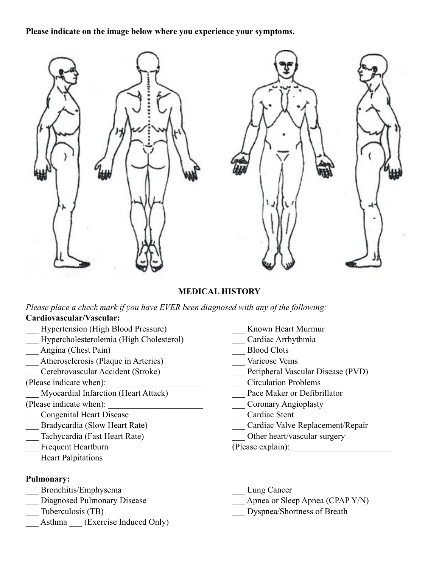#### **Please indicate on the image below where you experience your symptoms.**



#### **MEDICAL HISTORY**

*Please place a check mark if you have EVER been diagnosed with any of the following:* **Cardiovascular/Vascular:**

- Hypertension (High Blood Pressure) Known Heart Murmur
- \_\_\_ Hypercholesterolemia (High Cholesterol) \_\_\_ Cardiac Arrhythmia
- \_\_\_ Angina (Chest Pain) \_\_\_ Blood Clots
- \_\_\_ Atherosclerosis (Plaque in Arteries) \_\_\_ Varicose Veins
- 
- 
- Myocardial Infarction (Heart Attack) Pace Maker or Defibrillator
- 
- \_\_\_ Congenital Heart Disease \_\_\_ Cardiac Stent
- 
- Tachycardia (Fast Heart Rate) **Dividends** Other heart/vascular surgery
- Frequent Heartburn (Please explain): The explain (Please explain):
- Heart Palpitations

#### **Pulmonary:**

- Bronchitis/Emphysema Lung Cancer
- 
- 
- Asthma \_\_\_ (Exercise Induced Only)
- 
- 
- 
- 
- \_\_\_ Cerebrovascular Accident (Stroke) \_\_\_ Peripheral Vascular Disease (PVD)
- (Please indicate when): \_\_\_\_\_\_\_\_\_\_\_\_\_\_\_\_\_\_\_\_\_\_ \_\_\_ Circulation Problems
	-
- (Please indicate when): <br> Coronary Angioplasty
	-
	- Bradycardia (Slow Heart Rate) Cardiac Valve Replacement/Repair
		-
		-
		-
- Diagnosed Pulmonary Disease **Apnea or Sleep Apnea (CPAP Y/N)** 
	- Tuberculosis (TB) Dyspnea/Shortness of Breath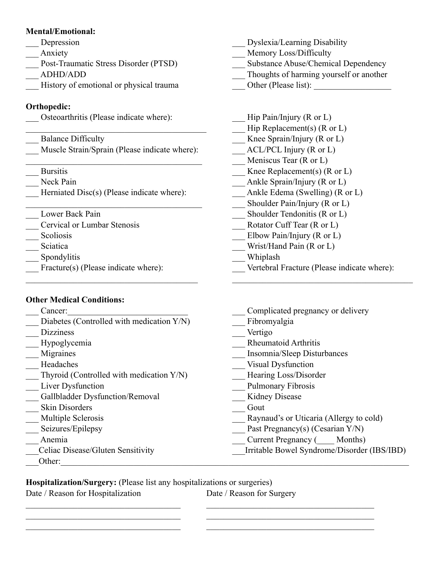### **Mental/Emotional:**

- 
- 
- 
- 
- \_\_\_ History of emotional or physical trauma \_\_\_ Other (Please list): \_\_\_\_\_\_\_\_\_\_\_\_\_\_\_\_\_\_

# **Orthopedic:**

Osteoarthritis (Please indicate where): <br>Hip Pain/Injury (R or L)

| <b>Balance Difficulty</b>                     |
|-----------------------------------------------|
| Muscle Strain/Sprain (Please indicate where): |

- 
- 
- Herniated Disc(s) (Please indicate where): <br>Ankle Edema (Swelling) (R or L)
- 
- \_\_\_ Cervical or Lumbar Stenosis \_\_\_ Rotator Cuff Tear (R or L)
- 
- 
- \_\_\_ Spondylitis \_\_\_ Whiplash
- 

## **Other Medical Conditions:**

- 
- Diabetes (Controlled with medication Y/N) Fibromyalgia
- \_\_\_ Dizziness \_\_\_ Vertigo
- 
- 
- 
- \_\_\_ Thyroid (Controlled with medication Y/N) \_\_\_ Hearing Loss/Disorder
- 
- Lagrange Gallbladder Dysfunction/Removal Lagrange Cout<br>
Lagrange Gout<br>
Cout
- \_\_ Skin Disorders
- 
- 
- 
- 
- Other:
- Learning Disability Depression **Exercise 2.2** Dyslexia/Learning Disability
- \_\_\_ Anxiety \_\_\_ Memory Loss/Difficulty
- Post-Traumatic Stress Disorder (PTSD) Substance Abuse/Chemical Dependency
- \_\_\_ ADHD/ADD \_\_\_ Thoughts of harming yourself or another
	-
	-
	- Hip Replacement(s) (R or L)
	- Knee Sprain/Injury (R or L)
	- $ACL/PCL$  Injury (R or L)
	- $\blacksquare$  Meniscus Tear (R or L)
	- Bursitis **Example 2.1** Knee Replacement(s) (R or L)
	- Neck Pain **Ankle Sprain/Injury (R or L)** 
		-
		- \_\_\_\_\_\_\_\_\_\_\_\_\_\_\_\_\_\_\_\_\_\_\_\_\_\_\_\_\_\_\_\_\_\_\_\_\_\_\_\_\_ \_\_\_ Shoulder Pain/Injury (R or L)
- Lower Back Pain Shoulder Tendonitis (R or L)
	-
- \_\_\_ Scoliosis \_\_\_ Elbow Pain/Injury (R or L)
- \_\_\_ Sciatica \_\_\_ Wrist/Hand Pain (R or L)
	-

 $\mathcal{L}_\mathcal{L} = \{ \mathcal{L}_\mathcal{L} = \{ \mathcal{L}_\mathcal{L} = \{ \mathcal{L}_\mathcal{L} = \{ \mathcal{L}_\mathcal{L} = \{ \mathcal{L}_\mathcal{L} = \{ \mathcal{L}_\mathcal{L} = \{ \mathcal{L}_\mathcal{L} = \{ \mathcal{L}_\mathcal{L} = \{ \mathcal{L}_\mathcal{L} = \{ \mathcal{L}_\mathcal{L} = \{ \mathcal{L}_\mathcal{L} = \{ \mathcal{L}_\mathcal{L} = \{ \mathcal{L}_\mathcal{L} = \{ \mathcal{L}_\mathcal{$ 

- Fracture(s) (Please indicate where): <br>
Vertebral Fracture (Please indicate where):
	- Cancer: Complicated pregnancy or delivery
		-
		-
- \_\_\_ Hypoglycemia \_\_\_ Rheumatoid Arthritis
- Lackson Migraines **Exercise 2.1 Alternative Contract Contract Contract Contract Contract Contract Contract Contract Contract Contract Contract Contract Contract Contract Contract Contract Contract Contract Contract Contrac**
- Legislation and the Uisual Dysfunction
	-
- Liver Dysfunction **Liver Dysfunction** 2014 2015 2016
	-
	-
- \_\_\_ Multiple Sclerosis \_\_\_ Raynaud's or Uticaria (Allergy to cold)
- \_\_\_ Seizures/Epilepsy \_\_\_ Past Pregnancy(s) (Cesarian Y/N)
- \_\_\_ Anemia \_\_\_ Current Pregnancy (\_\_\_\_ Months)
	- \_\_\_Celiac Disease/Gluten Sensitivity \_\_\_Irritable Bowel Syndrome/Disorder (IBS/IBD)

**Hospitalization/Surgery:** (Please list any hospitalizations or surgeries)

 $\mathcal{L}_\mathcal{L} = \{ \mathcal{L}_\mathcal{L} = \{ \mathcal{L}_\mathcal{L} = \{ \mathcal{L}_\mathcal{L} = \{ \mathcal{L}_\mathcal{L} = \{ \mathcal{L}_\mathcal{L} = \{ \mathcal{L}_\mathcal{L} = \{ \mathcal{L}_\mathcal{L} = \{ \mathcal{L}_\mathcal{L} = \{ \mathcal{L}_\mathcal{L} = \{ \mathcal{L}_\mathcal{L} = \{ \mathcal{L}_\mathcal{L} = \{ \mathcal{L}_\mathcal{L} = \{ \mathcal{L}_\mathcal{L} = \{ \mathcal{L}_\mathcal{$  $\mathcal{L}_\mathcal{L} = \{ \mathcal{L}_\mathcal{L} = \{ \mathcal{L}_\mathcal{L} = \{ \mathcal{L}_\mathcal{L} = \{ \mathcal{L}_\mathcal{L} = \{ \mathcal{L}_\mathcal{L} = \{ \mathcal{L}_\mathcal{L} = \{ \mathcal{L}_\mathcal{L} = \{ \mathcal{L}_\mathcal{L} = \{ \mathcal{L}_\mathcal{L} = \{ \mathcal{L}_\mathcal{L} = \{ \mathcal{L}_\mathcal{L} = \{ \mathcal{L}_\mathcal{L} = \{ \mathcal{L}_\mathcal{L} = \{ \mathcal{L}_\mathcal{$  $\mathcal{L}_\mathcal{L} = \{ \mathcal{L}_\mathcal{L} = \{ \mathcal{L}_\mathcal{L} = \{ \mathcal{L}_\mathcal{L} = \{ \mathcal{L}_\mathcal{L} = \{ \mathcal{L}_\mathcal{L} = \{ \mathcal{L}_\mathcal{L} = \{ \mathcal{L}_\mathcal{L} = \{ \mathcal{L}_\mathcal{L} = \{ \mathcal{L}_\mathcal{L} = \{ \mathcal{L}_\mathcal{L} = \{ \mathcal{L}_\mathcal{L} = \{ \mathcal{L}_\mathcal{L} = \{ \mathcal{L}_\mathcal{L} = \{ \mathcal{L}_\mathcal{$ 

Date / Reason for Hospitalization Date / Reason for Surgery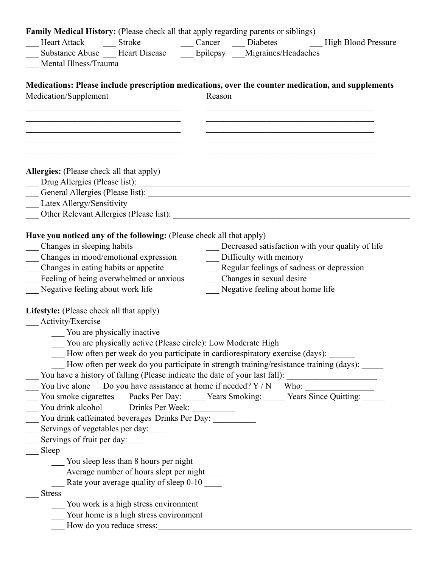| Family Medical History: (Please check all that apply regarding parents or siblings)                                  |                                                              |        |                                                                                                                               |  |
|----------------------------------------------------------------------------------------------------------------------|--------------------------------------------------------------|--------|-------------------------------------------------------------------------------------------------------------------------------|--|
|                                                                                                                      |                                                              |        | Substance Abuse __ Heart Disease __ Epilepsy __ Migraines/Headaches                                                           |  |
| Mental Illness/Trauma                                                                                                |                                                              |        |                                                                                                                               |  |
|                                                                                                                      |                                                              |        |                                                                                                                               |  |
| Medications: Please include prescription medications, over the counter medication, and supplements                   |                                                              |        |                                                                                                                               |  |
| Medication/Supplement                                                                                                |                                                              | Reason |                                                                                                                               |  |
|                                                                                                                      |                                                              |        |                                                                                                                               |  |
| the control of the control of the control of the control of the control of the control of the control of             |                                                              |        | <u> 1989 - Johann John Stoff, deutscher Stoffen und der Stoffen und der Stoffen und der Stoffen und der Stoffen u</u>         |  |
| <u> 1989 - Johann John Stone, mars eta bainar eta baina eta baina eta baina eta baina eta baina eta baina eta ba</u> |                                                              |        | the control of the control of the control of the control of the control of the control of                                     |  |
| <u> 1989 - Johann John Stone, mars eta bainar eta baina eta baina eta baina eta baina eta baina eta baina eta ba</u> |                                                              |        | <u> 1989 - Johann John Stone, mars et al. 1989 - John Stone, mars et al. 1989 - John Stone, mars et al. 1989 - John Stone</u> |  |
|                                                                                                                      |                                                              |        |                                                                                                                               |  |
| <b>Allergies:</b> (Please check all that apply)                                                                      |                                                              |        |                                                                                                                               |  |
|                                                                                                                      |                                                              |        |                                                                                                                               |  |
|                                                                                                                      |                                                              |        |                                                                                                                               |  |
| Latex Allergy/Sensitivity                                                                                            |                                                              |        |                                                                                                                               |  |
|                                                                                                                      |                                                              |        |                                                                                                                               |  |
| Have you noticed any of the following: (Please check all that apply)                                                 |                                                              |        |                                                                                                                               |  |
| Changes in sleeping habits                                                                                           |                                                              |        | Decreased satisfaction with your quality of life                                                                              |  |
| Changes in mood/emotional expression                                                                                 |                                                              |        | __ Difficulty with memory                                                                                                     |  |
| Changes in eating habits or appetite                                                                                 |                                                              |        | __ Regular feelings of sadness or depression                                                                                  |  |
| Feeling of being overwhelmed or anxious                                                                              |                                                              |        | Changes in sexual desire                                                                                                      |  |
| Negative feeling about work life                                                                                     |                                                              |        | Negative feeling about home life                                                                                              |  |
|                                                                                                                      |                                                              |        |                                                                                                                               |  |
| <b>Lifestyle:</b> (Please check all that apply)                                                                      |                                                              |        |                                                                                                                               |  |
| Activity/Exercise                                                                                                    |                                                              |        |                                                                                                                               |  |
| __ You are physically inactive                                                                                       |                                                              |        |                                                                                                                               |  |
|                                                                                                                      | You are physically active (Please circle): Low Moderate High |        |                                                                                                                               |  |
|                                                                                                                      |                                                              |        | How often per week do you participate in cardiorespiratory exercise (days):                                                   |  |
|                                                                                                                      |                                                              |        | How often per week do you participate in strength training/resistance training (days):                                        |  |
|                                                                                                                      |                                                              |        | You have a history of falling (Please indicate the date of your last fall): _______________________                           |  |
|                                                                                                                      |                                                              |        | You live alone Do you have assistance at home if needed? $Y/N$ Who:                                                           |  |
|                                                                                                                      |                                                              |        | You smoke cigarettes Packs Per Day: Vears Smoking: Vears Since Quitting:                                                      |  |
| You drink alcohol Drinks Per Week:                                                                                   |                                                              |        |                                                                                                                               |  |
| You drink caffeinated beverages Drinks Per Day: __________                                                           |                                                              |        |                                                                                                                               |  |
| Servings of vegetables per day:                                                                                      |                                                              |        |                                                                                                                               |  |
| Servings of fruit per day:                                                                                           |                                                              |        |                                                                                                                               |  |
| Sleep                                                                                                                |                                                              |        |                                                                                                                               |  |
|                                                                                                                      | ___ You sleep less than 8 hours per night                    |        |                                                                                                                               |  |
|                                                                                                                      | Average number of hours slept per night ______               |        |                                                                                                                               |  |
| <b>Stress</b>                                                                                                        | Rate your average quality of sleep 0-10                      |        |                                                                                                                               |  |
|                                                                                                                      | You work is a high stress environment                        |        |                                                                                                                               |  |
|                                                                                                                      | Your home is a high stress environment                       |        |                                                                                                                               |  |
|                                                                                                                      |                                                              |        |                                                                                                                               |  |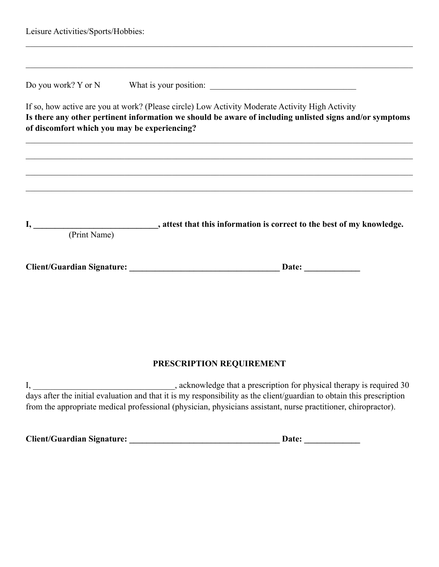| Leisure Activities/Sports/Hobbies:           |                                                                                                                                                                                                            |
|----------------------------------------------|------------------------------------------------------------------------------------------------------------------------------------------------------------------------------------------------------------|
|                                              |                                                                                                                                                                                                            |
| of discomfort which you may be experiencing? | If so, how active are you at work? (Please circle) Low Activity Moderate Activity High Activity<br>Is there any other pertinent information we should be aware of including unlisted signs and/or symptoms |
|                                              | <u> 1989 - Johann John Harry Harry Harry Harry Harry Harry Harry Harry Harry Harry Harry Harry Harry Harry Harry</u>                                                                                       |
| (Print Name)                                 | I, ________________________________, attest that this information is correct to the best of my knowledge.                                                                                                  |
|                                              |                                                                                                                                                                                                            |
|                                              |                                                                                                                                                                                                            |
|                                              |                                                                                                                                                                                                            |

## **PRESCRIPTION REQUIREMENT**

I, 1. 2012 1. The subset of the state of the state of the state of the state of the state of the state of the state of the state of the state of the state of the state of the state of the state of the state of the state of days after the initial evaluation and that it is my responsibility as the client/guardian to obtain this prescription from the appropriate medical professional (physician, physicians assistant, nurse practitioner, chiropractor).

**Client/Guardian Signature: \_\_\_\_\_\_\_\_\_\_\_\_\_\_\_\_\_\_\_\_\_\_\_\_\_\_\_\_\_\_\_\_\_\_\_ Date: \_\_\_\_\_\_\_\_\_\_\_\_\_**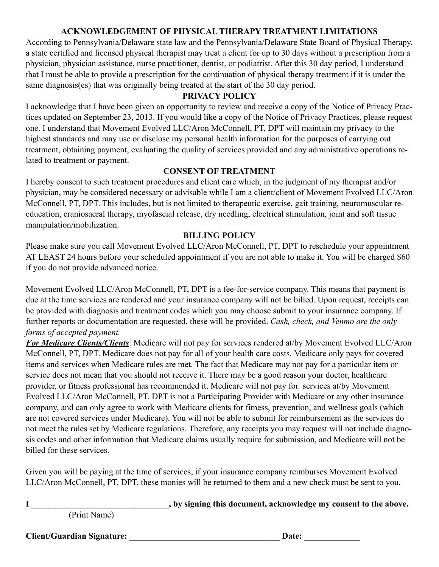# **ACKNOWLEDGEMENT OF PHYSICAL THERAPY TREATMENT LIMITATIONS**

According to Pennsylvania/Delaware state law and the Pennsylvania/Delaware State Board of Physical Therapy, a state certified and licensed physical therapist may treat a client for up to 30 days without a prescription from a physician, physician assistance, nurse practitioner, dentist, or podiatrist. After this 30 day period, I understand that I must be able to provide a prescription for the continuation of physical therapy treatment if it is under the same diagnosis(es) that was originally being treated at the start of the 30 day period.

### **PRIVACY POLICY**

I acknowledge that I have been given an opportunity to review and receive a copy of the Notice of Privacy Practices updated on September 23, 2013. If you would like a copy of the Notice of Privacy Practices, please request one. I understand that Movement Evolved LLC/Aron McConnell, PT, DPT will maintain my privacy to the highest standards and may use or disclose my personal health information for the purposes of carrying out treatment, obtaining payment, evaluating the quality of services provided and any administrative operations related to treatment or payment.

### **CONSENT OF TREATMENT**

I hereby consent to such treatment procedures and client care which, in the judgment of my therapist and/or physician, may be considered necessary or advisable while I am a client/client of Movement Evolved LLC/Aron McConnell, PT, DPT. This includes, but is not limited to therapeutic exercise, gait training, neuromuscular reeducation, craniosacral therapy, myofascial release, dry needling, electrical stimulation, joint and soft tissue manipulation/mobilization.

### **BILLING POLICY**

Please make sure you call Movement Evolved LLC/Aron McConnell, PT, DPT to reschedule your appointment AT LEAST 24 hours before your scheduled appointment if you are not able to make it. You will be charged \$60 if you do not provide advanced notice.

Movement Evolved LLC/Aron McConnell, PT, DPT is a fee-for-service company. This means that payment is due at the time services are rendered and your insurance company will not be billed. Upon request, receipts can be provided with diagnosis and treatment codes which you may choose submit to your insurance company. If further reports or documentation are requested, these will be provided. *Cash, check, and Venmo are the only forms of accepted payment.*

*For Medicare Clients/Clients*: Medicare will not pay for services rendered at/by Movement Evolved LLC/Aron McConnell, PT, DPT. Medicare does not pay for all of your health care costs. Medicare only pays for covered items and services when Medicare rules are met. The fact that Medicare may not pay for a particular item or service does not mean that you should not receive it. There may be a good reason your doctor, healthcare provider, or fitness professional has recommended it. Medicare will not pay for services at/by Movement Evolved LLC/Aron McConnell, PT, DPT is not a Participating Provider with Medicare or any other insurance company, and can only agree to work with Medicare clients for fitness, prevention, and wellness goals (which are not covered services under Medicare). You will not be able to submit for reimbursement as the services do not meet the rules set by Medicare regulations. Therefore, any receipts you may request will not include diagnosis codes and other information that Medicare claims usually require for submission, and Medicare will not be billed for these services.

Given you will be paying at the time of services, if your insurance company reimburses Movement Evolved LLC/Aron McConnell, PT, DPT, these monies will be returned to them and a new check must be sent to you.

**I \_\_\_\_\_\_\_\_\_\_\_\_\_\_\_\_\_\_\_\_\_\_\_\_\_\_\_\_\_\_\_\_, by signing this document, acknowledge my consent to the above.** 

(Print Name)

**Client/Guardian Signature:**  $\qquad \qquad$  Date: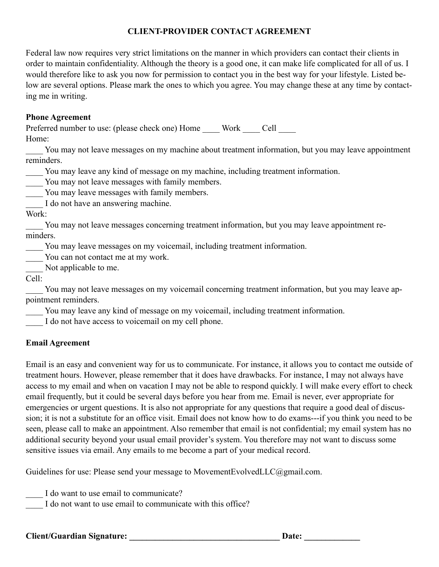## **CLIENT-PROVIDER CONTACT AGREEMENT**

Federal law now requires very strict limitations on the manner in which providers can contact their clients in order to maintain confidentiality. Although the theory is a good one, it can make life complicated for all of us. I would therefore like to ask you now for permission to contact you in the best way for your lifestyle. Listed below are several options. Please mark the ones to which you agree. You may change these at any time by contacting me in writing.

#### **Phone Agreement**

Preferred number to use: (please check one) Home Work Cell Home:

You may not leave messages on my machine about treatment information, but you may leave appointment reminders.

\_\_\_\_ You may leave any kind of message on my machine, including treatment information.

You may not leave messages with family members.

You may leave messages with family members.

I do not have an answering machine.

Work:

You may not leave messages concerning treatment information, but you may leave appointment reminders.

\_\_\_\_ You may leave messages on my voicemail, including treatment information.

You can not contact me at my work.

Not applicable to me.

Cell:

You may not leave messages on my voicemail concerning treatment information, but you may leave appointment reminders.

You may leave any kind of message on my voicemail, including treatment information.

I do not have access to voicemail on my cell phone.

## **Email Agreement**

Email is an easy and convenient way for us to communicate. For instance, it allows you to contact me outside of treatment hours. However, please remember that it does have drawbacks. For instance, I may not always have access to my email and when on vacation I may not be able to respond quickly. I will make every effort to check email frequently, but it could be several days before you hear from me. Email is never, ever appropriate for emergencies or urgent questions. It is also not appropriate for any questions that require a good deal of discussion; it is not a substitute for an office visit. Email does not know how to do exams---if you think you need to be seen, please call to make an appointment. Also remember that email is not confidential; my email system has no additional security beyond your usual email provider's system. You therefore may not want to discuss some sensitive issues via email. Any emails to me become a part of your medical record.

Guidelines for use: Please send your message to MovementEvolvedLLC@gmail.com.

\_\_\_\_ I do want to use email to communicate?

I do not want to use email to communicate with this office?

#### Client/Guardian Signature: **Date: Date: Date: Date: Date: Date: Date: Date: Date: Date: Date: Date: Date: Date: Date: Date: Date: Date: Date: Date: Date: Date: Date: Date: Da**